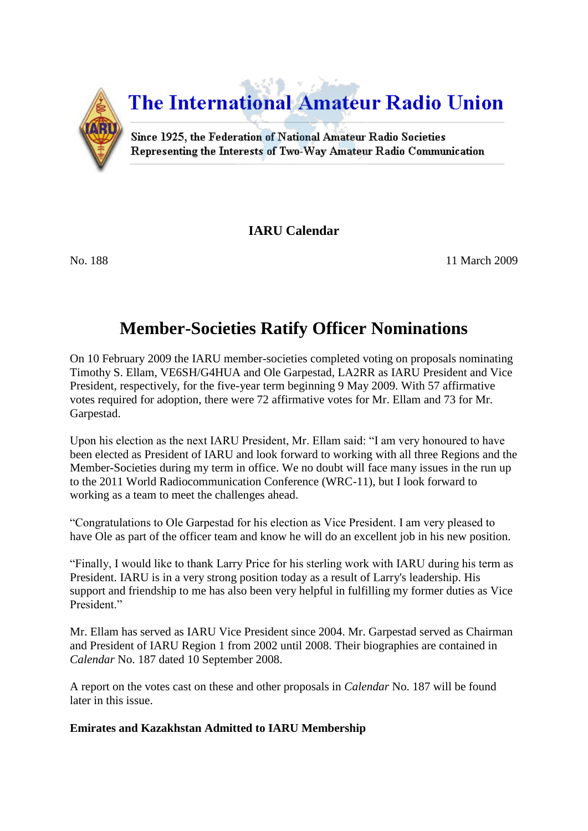

**IARU Calendar**

No. 188 11 March 2009

# **Member-Societies Ratify Officer Nominations**

On 10 February 2009 the IARU member-societies completed voting on proposals nominating Timothy S. Ellam, VE6SH/G4HUA and Ole Garpestad, LA2RR as IARU President and Vice President, respectively, for the five-year term beginning 9 May 2009. With 57 affirmative votes required for adoption, there were 72 affirmative votes for Mr. Ellam and 73 for Mr. Garpestad.

Upon his election as the next IARU President, Mr. Ellam said: "I am very honoured to have been elected as President of IARU and look forward to working with all three Regions and the Member-Societies during my term in office. We no doubt will face many issues in the run up to the 2011 World Radiocommunication Conference (WRC-11), but I look forward to working as a team to meet the challenges ahead.

"Congratulations to Ole Garpestad for his election as Vice President. I am very pleased to have Ole as part of the officer team and know he will do an excellent job in his new position.

"Finally, I would like to thank Larry Price for his sterling work with IARU during his term as President. IARU is in a very strong position today as a result of Larry's leadership. His support and friendship to me has also been very helpful in fulfilling my former duties as Vice President."

Mr. Ellam has served as IARU Vice President since 2004. Mr. Garpestad served as Chairman and President of IARU Region 1 from 2002 until 2008. Their biographies are contained in *Calendar* No. 187 dated 10 September 2008.

A report on the votes cast on these and other proposals in *Calendar* No. 187 will be found later in this issue.

# **Emirates and Kazakhstan Admitted to IARU Membership**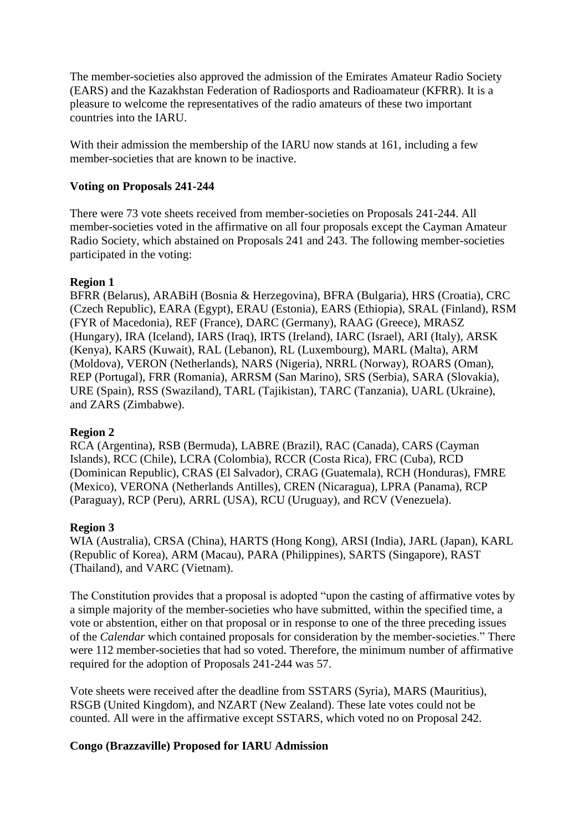The member-societies also approved the admission of the Emirates Amateur Radio Society (EARS) and the Kazakhstan Federation of Radiosports and Radioamateur (KFRR). It is a pleasure to welcome the representatives of the radio amateurs of these two important countries into the IARU.

With their admission the membership of the IARU now stands at 161, including a few member-societies that are known to be inactive.

### **Voting on Proposals 241-244**

There were 73 vote sheets received from member-societies on Proposals 241-244. All member-societies voted in the affirmative on all four proposals except the Cayman Amateur Radio Society, which abstained on Proposals 241 and 243. The following member-societies participated in the voting:

#### **Region 1**

BFRR (Belarus), ARABiH (Bosnia & Herzegovina), BFRA (Bulgaria), HRS (Croatia), CRC (Czech Republic), EARA (Egypt), ERAU (Estonia), EARS (Ethiopia), SRAL (Finland), RSM (FYR of Macedonia), REF (France), DARC (Germany), RAAG (Greece), MRASZ (Hungary), IRA (Iceland), IARS (Iraq), IRTS (Ireland), IARC (Israel), ARI (Italy), ARSK (Kenya), KARS (Kuwait), RAL (Lebanon), RL (Luxembourg), MARL (Malta), ARM (Moldova), VERON (Netherlands), NARS (Nigeria), NRRL (Norway), ROARS (Oman), REP (Portugal), FRR (Romania), ARRSM (San Marino), SRS (Serbia), SARA (Slovakia), URE (Spain), RSS (Swaziland), TARL (Tajikistan), TARC (Tanzania), UARL (Ukraine), and ZARS (Zimbabwe).

# **Region 2**

RCA (Argentina), RSB (Bermuda), LABRE (Brazil), RAC (Canada), CARS (Cayman Islands), RCC (Chile), LCRA (Colombia), RCCR (Costa Rica), FRC (Cuba), RCD (Dominican Republic), CRAS (El Salvador), CRAG (Guatemala), RCH (Honduras), FMRE (Mexico), VERONA (Netherlands Antilles), CREN (Nicaragua), LPRA (Panama), RCP (Paraguay), RCP (Peru), ARRL (USA), RCU (Uruguay), and RCV (Venezuela).

#### **Region 3**

WIA (Australia), CRSA (China), HARTS (Hong Kong), ARSI (India), JARL (Japan), KARL (Republic of Korea), ARM (Macau), PARA (Philippines), SARTS (Singapore), RAST (Thailand), and VARC (Vietnam).

The Constitution provides that a proposal is adopted "upon the casting of affirmative votes by a simple majority of the member-societies who have submitted, within the specified time, a vote or abstention, either on that proposal or in response to one of the three preceding issues of the *Calendar* which contained proposals for consideration by the member-societies." There were 112 member-societies that had so voted. Therefore, the minimum number of affirmative required for the adoption of Proposals 241-244 was 57.

Vote sheets were received after the deadline from SSTARS (Syria), MARS (Mauritius), RSGB (United Kingdom), and NZART (New Zealand). These late votes could not be counted. All were in the affirmative except SSTARS, which voted no on Proposal 242.

# **Congo (Brazzaville) Proposed for IARU Admission**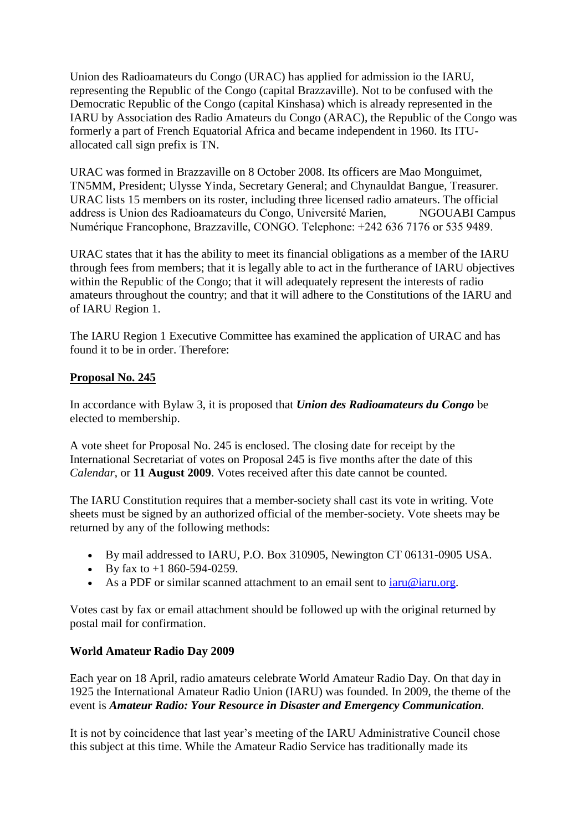Union des Radioamateurs du Congo (URAC) has applied for admission io the IARU, representing the Republic of the Congo (capital Brazzaville). Not to be confused with the Democratic Republic of the Congo (capital Kinshasa) which is already represented in the IARU by Association des Radio Amateurs du Congo (ARAC), the Republic of the Congo was formerly a part of French Equatorial Africa and became independent in 1960. Its ITUallocated call sign prefix is TN.

URAC was formed in Brazzaville on 8 October 2008. Its officers are Mao Monguimet, TN5MM, President; Ulysse Yinda, Secretary General; and Chynauldat Bangue, Treasurer. URAC lists 15 members on its roster, including three licensed radio amateurs. The official address is Union des Radioamateurs du Congo, Université Marien, NGOUABI Campus Numérique Francophone, Brazzaville, CONGO. Telephone: +242 636 7176 or 535 9489.

URAC states that it has the ability to meet its financial obligations as a member of the IARU through fees from members; that it is legally able to act in the furtherance of IARU objectives within the Republic of the Congo; that it will adequately represent the interests of radio amateurs throughout the country; and that it will adhere to the Constitutions of the IARU and of IARU Region 1.

The IARU Region 1 Executive Committee has examined the application of URAC and has found it to be in order. Therefore:

#### **Proposal No. 245**

In accordance with Bylaw 3, it is proposed that *Union des Radioamateurs du Congo* be elected to membership.

A vote sheet for Proposal No. 245 is enclosed. The closing date for receipt by the International Secretariat of votes on Proposal 245 is five months after the date of this *Calendar*, or **11 August 2009**. Votes received after this date cannot be counted.

The IARU Constitution requires that a member-society shall cast its vote in writing. Vote sheets must be signed by an authorized official of the member-society. Vote sheets may be returned by any of the following methods:

- By mail addressed to IARU, P.O. Box 310905, Newington CT 06131-0905 USA.
- By fax to  $+1$  860-594-0259.
- As a PDF or similar scanned attachment to an email sent to  $iaru@iaru.org$ .

Votes cast by fax or email attachment should be followed up with the original returned by postal mail for confirmation.

#### **World Amateur Radio Day 2009**

Each year on 18 April, radio amateurs celebrate World Amateur Radio Day. On that day in 1925 the International Amateur Radio Union (IARU) was founded. In 2009, the theme of the event is *Amateur Radio: Your Resource in Disaster and Emergency Communication.*

It is not by coincidence that last year's meeting of the IARU Administrative Council chose this subject at this time. While the Amateur Radio Service has traditionally made its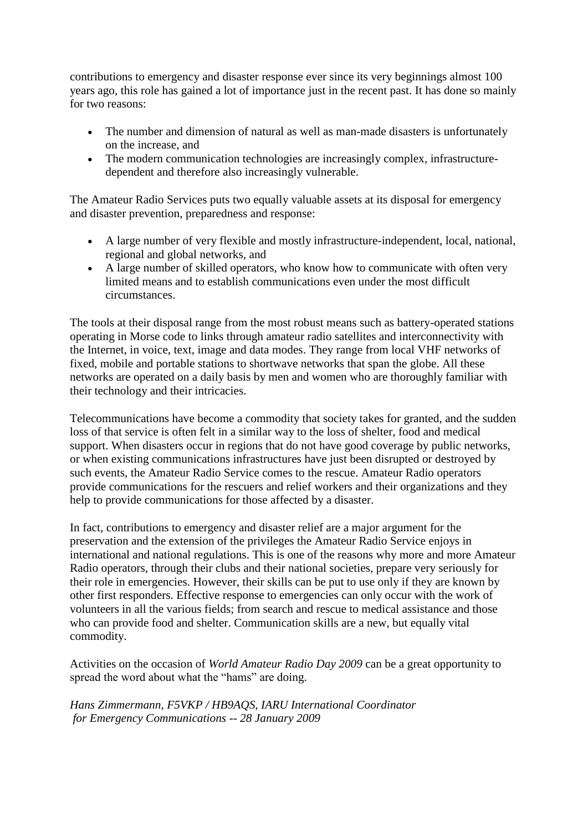contributions to emergency and disaster response ever since its very beginnings almost 100 years ago, this role has gained a lot of importance just in the recent past. It has done so mainly for two reasons:

- The number and dimension of natural as well as man-made disasters is unfortunately on the increase, and
- The modern communication technologies are increasingly complex, infrastructuredependent and therefore also increasingly vulnerable.

The Amateur Radio Services puts two equally valuable assets at its disposal for emergency and disaster prevention, preparedness and response:

- A large number of very flexible and mostly infrastructure-independent, local, national, regional and global networks, and
- A large number of skilled operators, who know how to communicate with often very limited means and to establish communications even under the most difficult circumstances.

The tools at their disposal range from the most robust means such as battery-operated stations operating in Morse code to links through amateur radio satellites and interconnectivity with the Internet, in voice, text, image and data modes. They range from local VHF networks of fixed, mobile and portable stations to shortwave networks that span the globe. All these networks are operated on a daily basis by men and women who are thoroughly familiar with their technology and their intricacies.

Telecommunications have become a commodity that society takes for granted, and the sudden loss of that service is often felt in a similar way to the loss of shelter, food and medical support. When disasters occur in regions that do not have good coverage by public networks, or when existing communications infrastructures have just been disrupted or destroyed by such events, the Amateur Radio Service comes to the rescue. Amateur Radio operators provide communications for the rescuers and relief workers and their organizations and they help to provide communications for those affected by a disaster.

In fact, contributions to emergency and disaster relief are a major argument for the preservation and the extension of the privileges the Amateur Radio Service enjoys in international and national regulations. This is one of the reasons why more and more Amateur Radio operators, through their clubs and their national societies, prepare very seriously for their role in emergencies. However, their skills can be put to use only if they are known by other first responders. Effective response to emergencies can only occur with the work of volunteers in all the various fields; from search and rescue to medical assistance and those who can provide food and shelter. Communication skills are a new, but equally vital commodity.

Activities on the occasion of *World Amateur Radio Day 2009* can be a great opportunity to spread the word about what the "hams" are doing.

*Hans Zimmermann, F5VKP / HB9AQS, IARU International Coordinator for Emergency Communications* -- *28 January 2009*